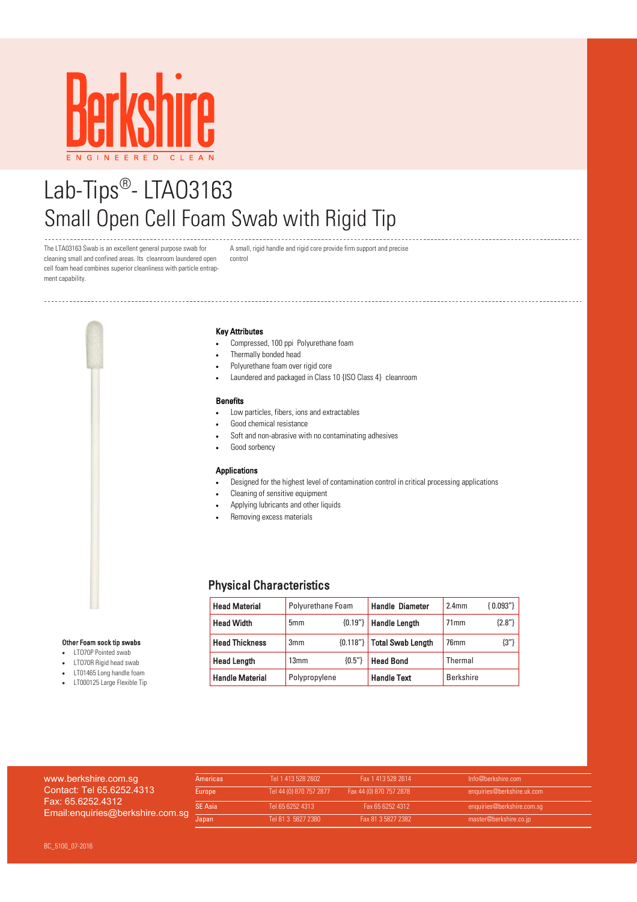

# Lab-Tips®-LTA03163 Small Open Cell Foam Swab with Rigid Tip

The LTA03163 Swab is an excellent general purpose swab for cleaning small and confined areas. Its cleanroom laundered open cell foam head combines superior cleanliness with particle entrapment capability.

-------------------------------------

A small, rigid handle and rigid core provide firm support and precise control

#### Key Attributes

- Compressed, 100 ppi Polyurethane foam
- Thermally bonded head
- Polyurethane foam over rigid core
- Laundered and packaged in Class 10 {ISO Class 4} cleanroom

#### Benefits

- Low particles, fibers, ions and extractables
- Good chemical resistance
- Soft and non-abrasive with no contaminating adhesives
- Good sorbency

## Applications

- Designed for the highest level of contamination control in critical processing applications
- Cleaning of sensitive equipment
- Applying lubricants and other liquids
- Removing excess materials

## Physical Characteristics

| <b>Head Material</b>   | Polyurethane Foam |          | <b>Handle Diameter</b>       | 2.4 <sub>mm</sub> | ${0.093"}$ |
|------------------------|-------------------|----------|------------------------------|-------------------|------------|
| <b>Head Width</b>      | 5 <sub>mm</sub>   |          | ${0.19"}$ Handle Length      | 71mm              | ${2.8"}$   |
| <b>Head Thickness</b>  | 3mm               |          | ${0.118"}$ Total Swab Length | 76mm              | $\{3''\}$  |
| <b>Head Length</b>     | 13mm              | ${0.5"}$ | <b>Head Bond</b>             | Thermal           |            |
| <b>Handle Material</b> | Polypropylene     |          | <b>Handle Text</b>           | <b>Berkshire</b>  |            |

- LTO70P Pointed swab
- LTO70R Rigid head swab
- LT01465 Long handle foam
- LT000125 Large Flexible Tip

| www.berkshire.com.sg<br>Contact: Tel 65.6252.4313<br>Fax: 65.6252.4312<br>mail:enquiries@berkshire.com.sg | <b>Americas</b> | Tel 1 413 528 2602      | Fax 1 413 528 2614      | Info@berkshire.com         |
|-----------------------------------------------------------------------------------------------------------|-----------------|-------------------------|-------------------------|----------------------------|
|                                                                                                           | Europe          | Tel 44 (0) 870 757 2877 | Fax 44 (0) 870 757 2878 | enquiries@berkshire.uk.com |
|                                                                                                           | <b>SE Asia</b>  | Tel 65 6252 4313        | Fax 65 6252 4312        | enquiries@berkshire.com.sq |
|                                                                                                           |                 | Tel 81 3 5827 2380      | Fax 81 3 5827 2382      | master@berkshire.co.jp     |